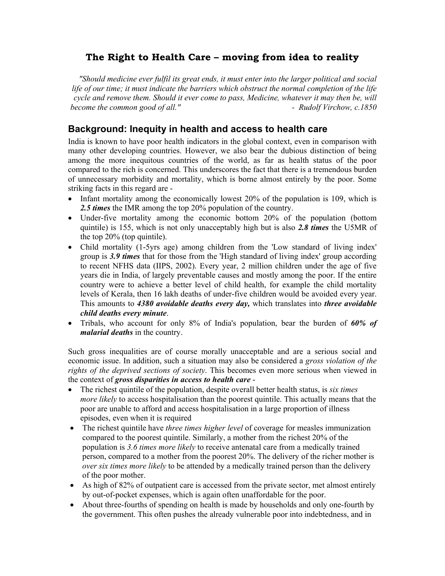# **The Right to Health Care – moving from idea to reality**

*"Should medicine ever fulfil its great ends, it must enter into the larger political and social life of our time; it must indicate the barriers which obstruct the normal completion of the life cycle and remove them. Should it ever come to pass, Medicine, whatever it may then be, will become the common good of all."*  $\qquad \qquad \qquad$  *Rudolf Virchow, c.1850* 

# **Background: Inequity in health and access to health care**

India is known to have poor health indicators in the global context, even in comparison with many other developing countries. However, we also bear the dubious distinction of being among the more inequitous countries of the world, as far as health status of the poor compared to the rich is concerned. This underscores the fact that there is a tremendous burden of unnecessary morbidity and mortality, which is borne almost entirely by the poor. Some striking facts in this regard are -

- Infant mortality among the economically lowest 20% of the population is 109, which is *2.5 times* the IMR among the top 20% population of the country.
- Under-five mortality among the economic bottom 20% of the population (bottom quintile) is 155, which is not only unacceptably high but is also *2.8 times* the U5MR of the top 20% (top quintile).
- Child mortality (1-5yrs age) among children from the 'Low standard of living index' group is *3.9 times* that for those from the 'High standard of living index' group according to recent NFHS data (IIPS, 2002). Every year, 2 million children under the age of five years die in India, of largely preventable causes and mostly among the poor. If the entire country were to achieve a better level of child health, for example the child mortality levels of Kerala, then 16 lakh deaths of under-five children would be avoided every year. This amounts to *4380 avoidable deaths every day,* which translates into *three avoidable child deaths every minute*.
- Tribals, who account for only 8% of India's population, bear the burden of *60% of malarial deaths* in the country.

Such gross inequalities are of course morally unacceptable and are a serious social and economic issue. In addition, such a situation may also be considered a *gross violation of the rights of the deprived sections of society*. This becomes even more serious when viewed in the context of *gross disparities in access to health care* -

- The richest quintile of the population, despite overall better health status, is *six times more likely* to access hospitalisation than the poorest quintile. This actually means that the poor are unable to afford and access hospitalisation in a large proportion of illness episodes, even when it is required
- The richest quintile have *three times higher level* of coverage for measles immunization compared to the poorest quintile. Similarly, a mother from the richest 20% of the population is *3.6 times more likely* to receive antenatal care from a medically trained person, compared to a mother from the poorest 20%. The delivery of the richer mother is *over six times more likely* to be attended by a medically trained person than the delivery of the poor mother.
- As high of 82% of outpatient care is accessed from the private sector, met almost entirely by out-of-pocket expenses, which is again often unaffordable for the poor.
- About three-fourths of spending on health is made by households and only one-fourth by the government. This often pushes the already vulnerable poor into indebtedness, and in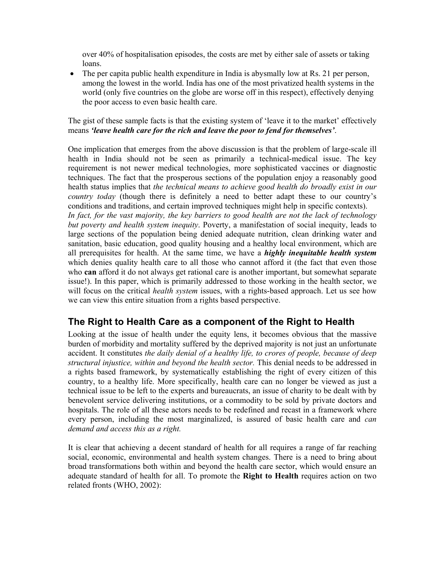over 40% of hospitalisation episodes, the costs are met by either sale of assets or taking loans.

• The per capita public health expenditure in India is aby smally low at Rs. 21 per person, among the lowest in the world. India has one of the most privatized health systems in the world (only five countries on the globe are worse off in this respect), effectively denying the poor access to even basic health care.

## The gist of these sample facts is that the existing system of 'leave it to the market' effectively means *'leave health care for the rich and leave the poor to fend for themselves'*.

One implication that emerges from the above discussion is that the problem of large-scale ill health in India should not be seen as primarily a technical-medical issue. The key requirement is not newer medical technologies, more sophisticated vaccines or diagnostic techniques. The fact that the prosperous sections of the population enjoy a reasonably good health status implies that *the technical means to achieve good health do broadly exist in our country today* (though there is definitely a need to better adapt these to our country's conditions and traditions, and certain improved techniques might help in specific contexts). *In fact, for the vast majority, the key barriers to good health are not the lack of technology but poverty and health system inequity*. Poverty, a manifestation of social inequity, leads to large sections of the population being denied adequate nutrition, clean drinking water and sanitation, basic education, good quality housing and a healthy local environment, which are all prerequisites for health. At the same time, we have a *highly inequitable health system*  which denies quality health care to all those who cannot afford it (the fact that even those who **can** afford it do not always get rational care is another important, but somewhat separate issue!). In this paper, which is primarily addressed to those working in the health sector, we will focus on the critical *health system* issues, with a rights-based approach. Let us see how we can view this entire situation from a rights based perspective.

# **The Right to Health Care as a component of the Right to Health**

Looking at the issue of health under the equity lens, it becomes obvious that the massive burden of morbidity and mortality suffered by the deprived majority is not just an unfortunate accident. It constitutes *the daily denial of a healthy life, to crores of people, because of deep structural injustice, within and beyond the health sector.* This denial needs to be addressed in a rights based framework, by systematically establishing the right of every citizen of this country, to a healthy life. More specifically, health care can no longer be viewed as just a technical issue to be left to the experts and bureaucrats, an issue of charity to be dealt with by benevolent service delivering institutions, or a commodity to be sold by private doctors and hospitals. The role of all these actors needs to be redefined and recast in a framework where every person, including the most marginalized, is assured of basic health care and *can demand and access this as a right.* 

It is clear that achieving a decent standard of health for all requires a range of far reaching social, economic, environmental and health system changes. There is a need to bring about broad transformations both within and beyond the health care sector, which would ensure an adequate standard of health for all. To promote the **Right to Health** requires action on two related fronts (WHO, 2002):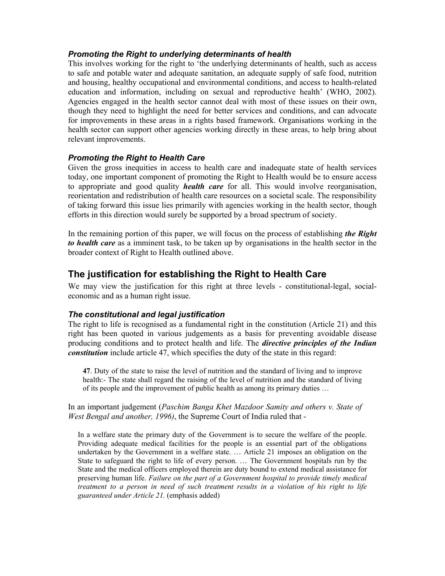## *Promoting the Right to underlying determinants of health*

This involves working for the right to 'the underlying determinants of health, such as access to safe and potable water and adequate sanitation, an adequate supply of safe food, nutrition and housing, healthy occupational and environmental conditions, and access to health-related education and information, including on sexual and reproductive health' (WHO, 2002). Agencies engaged in the health sector cannot deal with most of these issues on their own, though they need to highlight the need for better services and conditions, and can advocate for improvements in these areas in a rights based framework. Organisations working in the health sector can support other agencies working directly in these areas, to help bring about relevant improvements.

### *Promoting the Right to Health Care*

Given the gross inequities in access to health care and inadequate state of health services today, one important component of promoting the Right to Health would be to ensure access to appropriate and good quality *health care* for all. This would involve reorganisation, reorientation and redistribution of health care resources on a societal scale. The responsibility of taking forward this issue lies primarily with agencies working in the health sector, though efforts in this direction would surely be supported by a broad spectrum of society.

In the remaining portion of this paper, we will focus on the process of establishing *the Right to health care* as a imminent task, to be taken up by organisations in the health sector in the broader context of Right to Health outlined above.

# **The justification for establishing the Right to Health Care**

We may view the justification for this right at three levels - constitutional-legal, socialeconomic and as a human right issue.

#### *The constitutional and legal justification*

The right to life is recognised as a fundamental right in the constitution (Article 21) and this right has been quoted in various judgements as a basis for preventing avoidable disease producing conditions and to protect health and life. The *directive principles of the Indian constitution* include article 47, which specifies the duty of the state in this regard:

**47**. Duty of the state to raise the level of nutrition and the standard of living and to improve health:- The state shall regard the raising of the level of nutrition and the standard of living of its people and the improvement of public health as among its primary duties …

#### In an important judgement (*Paschim Banga Khet Mazdoor Samity and others v. State of West Bengal and another, 1996)*, the Supreme Court of India ruled that -

In a welfare state the primary duty of the Government is to secure the welfare of the people. Providing adequate medical facilities for the people is an essential part of the obligations undertaken by the Government in a welfare state. … Article 21 imposes an obligation on the State to safeguard the right to life of every person. … The Government hospitals run by the State and the medical officers employed therein are duty bound to extend medical assistance for preserving human life. *Failure on the part of a Government hospital to provide timely medical treatment to a person in need of such treatment results in a violation of his right to life guaranteed under Article 21.* (emphasis added)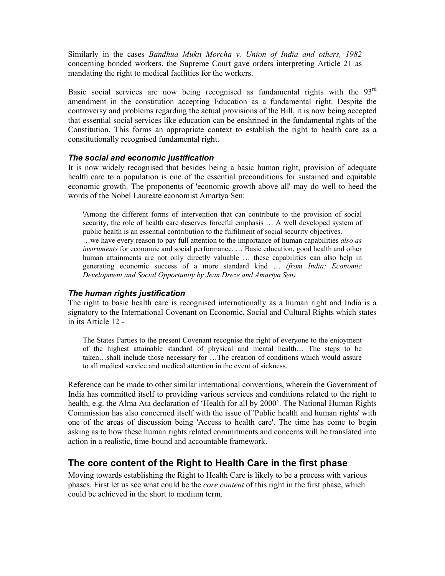Similarly in the cases *Bandhua Mukti Morcha v. Union of India and others, 1982*  concerning bonded workers, the Supreme Court gave orders interpreting Article 21 as mandating the right to medical facilities for the workers.

Basic social services are now being recognised as fundamental rights with the 93<sup>rd</sup> amendment in the constitution accepting Education as a fundamental right. Despite the controversy and problems regarding the actual provisions of the Bill, it is now being accepted that essential social services like education can be enshrined in the fundamental rights of the Constitution. This forms an appropriate context to establish the right to health care as a constitutionally recognised fundamental right.

#### *The social and economic justification*

It is now widely recognised that besides being a basic human right, provision of adequate health care to a population is one of the essential preconditions for sustained and equitable economic growth. The proponents of 'economic growth above all' may do well to heed the words of the Nobel Laureate economist Amartya Sen:

'Among the different forms of intervention that can contribute to the provision of social security, the role of health care deserves forceful emphasis … A well developed system of public health is an essential contribution to the fulfilment of social security objectives. …we have every reason to pay full attention to the importance of human capabilities *also as instruments* for economic and social performance. … Basic education, good health and other human attainments are not only directly valuable ... these capabilities can also help in generating economic success of a more standard kind … *(from India: Economic Development and Social Opportunity by Jean Dreze and Amartya Sen)* 

#### *The human rights justification*

The right to basic health care is recognised internationally as a human right and India is a signatory to the International Covenant on Economic, Social and Cultural Rights which states in its Article 12 -

The States Parties to the present Covenant recognise the right of everyone to the enjoyment of the highest attainable standard of physical and mental health… The steps to be taken…shall include those necessary for …The creation of conditions which would assure to all medical service and medical attention in the event of sickness.

Reference can be made to other similar international conventions, wherein the Government of India has committed itself to providing various services and conditions related to the right to health, e.g. the Alma Ata declaration of 'Health for all by 2000'. The National Human Rights Commission has also concerned itself with the issue of 'Public health and human rights' with one of the areas of discussion being 'Access to health care'. The time has come to begin asking as to how these human rights related commitments and concerns will be translated into action in a realistic, time-bound and accountable framework.

# **The core content of the Right to Health Care in the first phase**

Moving towards establishing the Right to Health Care is likely to be a process with various phases. First let us see what could be the *core content* of this right in the first phase, which could be achieved in the short to medium term.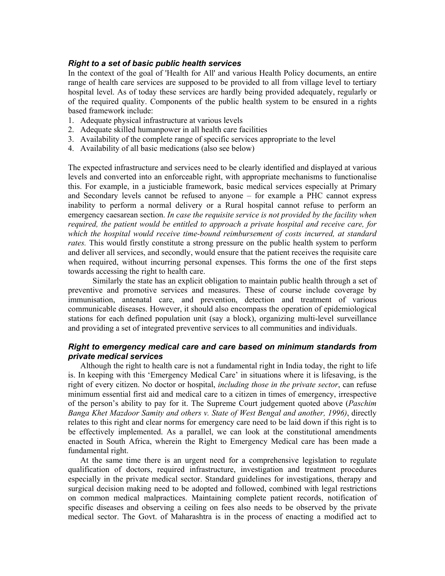#### *Right to a set of basic public health services*

In the context of the goal of 'Health for All' and various Health Policy documents, an entire range of health care services are supposed to be provided to all from village level to tertiary hospital level. As of today these services are hardly being provided adequately, regularly or of the required quality. Components of the public health system to be ensured in a rights based framework include:

- 1. Adequate physical infrastructure at various levels
- 2. Adequate skilled humanpower in all health care facilities
- 3. Availability of the complete range of specific services appropriate to the level
- 4. Availability of all basic medications (also see below)

The expected infrastructure and services need to be clearly identified and displayed at various levels and converted into an enforceable right, with appropriate mechanisms to functionalise this. For example, in a justiciable framework, basic medical services especially at Primary and Secondary levels cannot be refused to anyone – for example a PHC cannot express inability to perform a normal delivery or a Rural hospital cannot refuse to perform an emergency caesarean section. *In case the requisite service is not provided by the facility when required, the patient would be entitled to approach a private hospital and receive care, for which the hospital would receive time-bound reimbursement of costs incurred, at standard rates.* This would firstly constitute a strong pressure on the public health system to perform and deliver all services, and secondly, would ensure that the patient receives the requisite care when required, without incurring personal expenses. This forms the one of the first steps towards accessing the right to health care.

Similarly the state has an explicit obligation to maintain public health through a set of preventive and promotive services and measures. These of course include coverage by immunisation, antenatal care, and prevention, detection and treatment of various communicable diseases. However, it should also encompass the operation of epidemiological stations for each defined population unit (say a block), organizing multi-level surveillance and providing a set of integrated preventive services to all communities and individuals.

#### *Right to emergency medical care and care based on minimum standards from private medical services*

Although the right to health care is not a fundamental right in India today, the right to life is. In keeping with this 'Emergency Medical Care' in situations where it is lifesaving, is the right of every citizen. No doctor or hospital, *including those in the private sector*, can refuse minimum essential first aid and medical care to a citizen in times of emergency, irrespective of the person's ability to pay for it. The Supreme Court judgement quoted above (*Paschim Banga Khet Mazdoor Samity and others v. State of West Bengal and another, 1996)*, directly relates to this right and clear norms for emergency care need to be laid down if this right is to be effectively implemented. As a parallel, we can look at the constitutional amendments enacted in South Africa, wherein the Right to Emergency Medical care has been made a fundamental right.

At the same time there is an urgent need for a comprehensive legislation to regulate qualification of doctors, required infrastructure, investigation and treatment procedures especially in the private medical sector. Standard guidelines for investigations, therapy and surgical decision making need to be adopted and followed, combined with legal restrictions on common medical malpractices. Maintaining complete patient records, notification of specific diseases and observing a ceiling on fees also needs to be observed by the private medical sector. The Govt. of Maharashtra is in the process of enacting a modified act to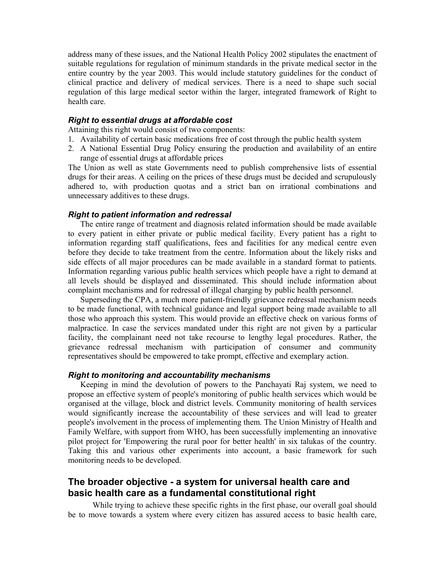address many of these issues, and the National Health Policy 2002 stipulates the enactment of suitable regulations for regulation of minimum standards in the private medical sector in the entire country by the year 2003. This would include statutory guidelines for the conduct of clinical practice and delivery of medical services. There is a need to shape such social regulation of this large medical sector within the larger, integrated framework of Right to health care.

#### *Right to essential drugs at affordable cost*

Attaining this right would consist of two components:

- 1. Availability of certain basic medications free of cost through the public health system
- 2. A National Essential Drug Policy ensuring the production and availability of an entire range of essential drugs at affordable prices

The Union as well as state Governments need to publish comprehensive lists of essential drugs for their areas. A ceiling on the prices of these drugs must be decided and scrupulously adhered to, with production quotas and a strict ban on irrational combinations and unnecessary additives to these drugs.

#### *Right to patient information and redressal*

The entire range of treatment and diagnosis related information should be made available to every patient in either private or public medical facility. Every patient has a right to information regarding staff qualifications, fees and facilities for any medical centre even before they decide to take treatment from the centre. Information about the likely risks and side effects of all major procedures can be made available in a standard format to patients. Information regarding various public health services which people have a right to demand at all levels should be displayed and disseminated. This should include information about complaint mechanisms and for redressal of illegal charging by public health personnel.

Superseding the CPA, a much more patient-friendly grievance redressal mechanism needs to be made functional, with technical guidance and legal support being made available to all those who approach this system. This would provide an effective check on various forms of malpractice. In case the services mandated under this right are not given by a particular facility, the complainant need not take recourse to lengthy legal procedures. Rather, the grievance redressal mechanism with participation of consumer and community representatives should be empowered to take prompt, effective and exemplary action.

#### *Right to monitoring and accountability mechanisms*

Keeping in mind the devolution of powers to the Panchayati Raj system, we need to propose an effective system of people's monitoring of public health services which would be organised at the village, block and district levels. Community monitoring of health services would significantly increase the accountability of these services and will lead to greater people's involvement in the process of implementing them. The Union Ministry of Health and Family Welfare, with support from WHO, has been successfully implementing an innovative pilot project for 'Empowering the rural poor for better health' in six talukas of the country. Taking this and various other experiments into account, a basic framework for such monitoring needs to be developed.

# **The broader objective - a system for universal health care and basic health care as a fundamental constitutional right**

While trying to achieve these specific rights in the first phase, our overall goal should be to move towards a system where every citizen has assured access to basic health care,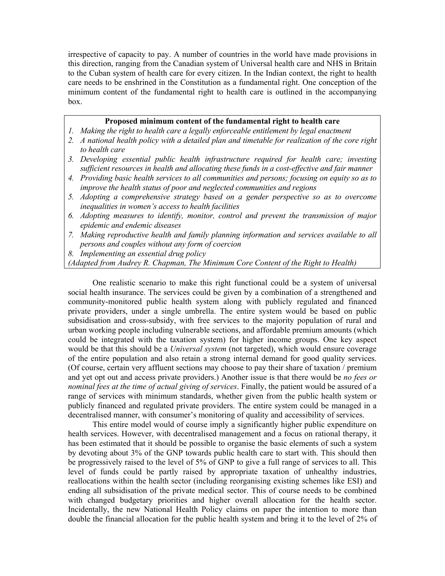irrespective of capacity to pay. A number of countries in the world have made provisions in this direction, ranging from the Canadian system of Universal health care and NHS in Britain to the Cuban system of health care for every citizen. In the Indian context, the right to health care needs to be enshrined in the Constitution as a fundamental right. One conception of the minimum content of the fundamental right to health care is outlined in the accompanying box.

#### **Proposed minimum content of the fundamental right to health care**

- 1. Making the right to health care a legally enforceable entitlement by legal enactment
- *2. A national health policy with a detailed plan and timetable for realization of the core right to health care*
- *3. Developing essential public health infrastructure required for health care; investing sufficient resources in health and allocating these funds in a cost-effective and fair manner*
- *4. Providing basic health services to all communities and persons; focusing on equity so as to improve the health status of poor and neglected communities and regions*
- *5. Adopting a comprehensive strategy based on a gender perspective so as to overcome inequalities in women's access to health facilities*
- *6. Adopting measures to identify, monitor, control and prevent the transmission of major epidemic and endemic diseases*
- *7. Making reproductive health and family planning information and services available to all persons and couples without any form of coercion*
- *8. Implementing an essential drug policy*

*(Adapted from Audrey R. Chapman, The Minimum Core Content of the Right to Health)* 

One realistic scenario to make this right functional could be a system of universal social health insurance. The services could be given by a combination of a strengthened and community-monitored public health system along with publicly regulated and financed private providers, under a single umbrella. The entire system would be based on public subsidisation and cross-subsidy, with free services to the majority population of rural and urban working people including vulnerable sections, and affordable premium amounts (which could be integrated with the taxation system) for higher income groups. One key aspect would be that this should be a *Universal system* (not targeted), which would ensure coverage of the entire population and also retain a strong internal demand for good quality services. (Of course, certain very affluent sections may choose to pay their share of taxation / premium and yet opt out and access private providers.) Another issue is that there would be *no fees or nominal fees at the time of actual giving of services*. Finally, the patient would be assured of a range of services with minimum standards, whether given from the public health system or publicly financed and regulated private providers. The entire system could be managed in a decentralised manner, with consumer's monitoring of quality and accessibility of services.

This entire model would of course imply a significantly higher public expenditure on health services. However, with decentralised management and a focus on rational therapy, it has been estimated that it should be possible to organise the basic elements of such a system by devoting about 3% of the GNP towards public health care to start with. This should then be progressively raised to the level of 5% of GNP to give a full range of services to all. This level of funds could be partly raised by appropriate taxation of unhealthy industries, reallocations within the health sector (including reorganising existing schemes like ESI) and ending all subsidisation of the private medical sector. This of course needs to be combined with changed budgetary priorities and higher overall allocation for the health sector. Incidentally, the new National Health Policy claims on paper the intention to more than double the financial allocation for the public health system and bring it to the level of 2% of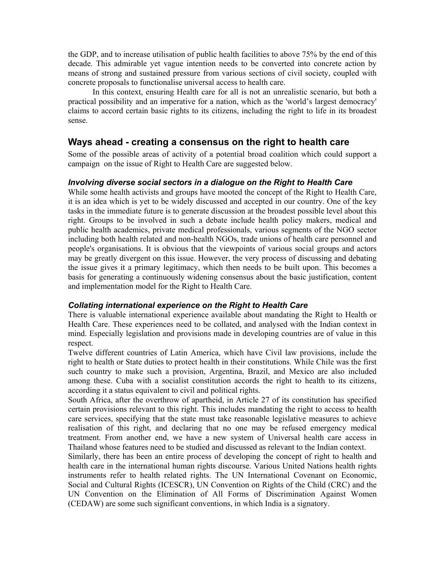the GDP, and to increase utilisation of public health facilities to above 75% by the end of this decade. This admirable yet vague intention needs to be converted into concrete action by means of strong and sustained pressure from various sections of civil society, coupled with concrete proposals to functionalise universal access to health care.

In this context, ensuring Health care for all is not an unrealistic scenario, but both a practical possibility and an imperative for a nation, which as the 'world's largest democracy' claims to accord certain basic rights to its citizens, including the right to life in its broadest sense.

# **Ways ahead - creating a consensus on the right to health care**

Some of the possible areas of activity of a potential broad coalition which could support a campaign on the issue of Right to Health Care are suggested below.

#### *Involving diverse social sectors in a dialogue on the Right to Health Care*

While some health activists and groups have mooted the concept of the Right to Health Care, it is an idea which is yet to be widely discussed and accepted in our country. One of the key tasks in the immediate future is to generate discussion at the broadest possible level about this right. Groups to be involved in such a debate include health policy makers, medical and public health academics, private medical professionals, various segments of the NGO sector including both health related and non-health NGOs, trade unions of health care personnel and people's organisations. It is obvious that the viewpoints of various social groups and actors may be greatly divergent on this issue. However, the very process of discussing and debating the issue gives it a primary legitimacy, which then needs to be built upon. This becomes a basis for generating a continuously widening consensus about the basic justification, content and implementation model for the Right to Health Care.

#### *Collating international experience on the Right to Health Care*

There is valuable international experience available about mandating the Right to Health or Health Care. These experiences need to be collated, and analysed with the Indian context in mind. Especially legislation and provisions made in developing countries are of value in this respect.

Twelve different countries of Latin America, which have Civil law provisions, include the right to health or State duties to protect health in their constitutions. While Chile was the first such country to make such a provision, Argentina, Brazil, and Mexico are also included among these. Cuba with a socialist constitution accords the right to health to its citizens, according it a status equivalent to civil and political rights.

South Africa, after the overthrow of apartheid, in Article 27 of its constitution has specified certain provisions relevant to this right. This includes mandating the right to access to health care services, specifying that the state must take reasonable legislative measures to achieve realisation of this right, and declaring that no one may be refused emergency medical treatment. From another end, we have a new system of Universal health care access in Thailand whose features need to be studied and discussed as relevant to the Indian context.

Similarly, there has been an entire process of developing the concept of right to health and health care in the international human rights discourse. Various United Nations health rights instruments refer to health related rights. The UN International Covenant on Economic, Social and Cultural Rights (ICESCR), UN Convention on Rights of the Child (CRC) and the UN Convention on the Elimination of All Forms of Discrimination Against Women (CEDAW) are some such significant conventions, in which India is a signatory.